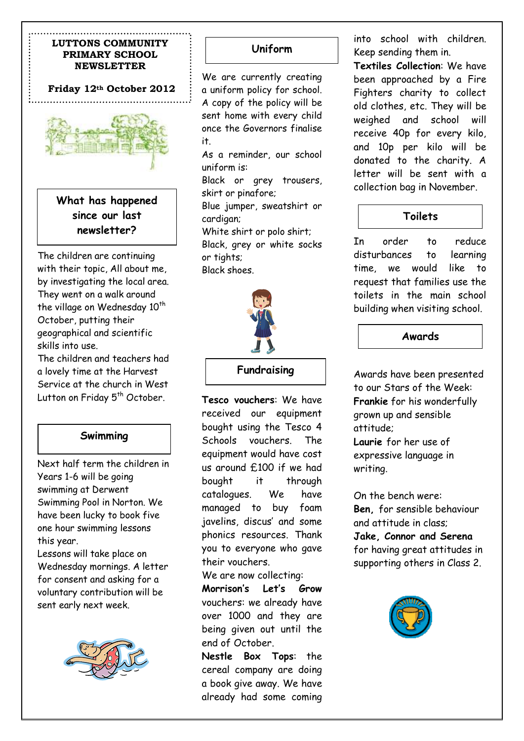## **LUTTONS COMMUNITY PRIMARY SCHOOL NEWSLETTER**

# **Friday 12th October 2012**



**What has happened since our last newsletter?**

The children are continuing with their topic, All about me, by investigating the local area. They went on a walk around the village on Wednesday  $10^{th}$ October, putting their geographical and scientific skills into use. The children and teachers had

a lovely time at the Harvest Service at the church in West Lutton on Friday 5<sup>th</sup> October.

# **Swimming**

Next half term the children in Years 1-6 will be going swimming at Derwent Swimming Pool in Norton. We have been lucky to book five one hour swimming lessons this year.

Lessons will take place on Wednesday mornings. A letter for consent and asking for a voluntary contribution will be sent early next week.



# **Uniform**

We are currently creating a uniform policy for school. A copy of the policy will be sent home with every child once the Governors finalise it.

As a reminder, our school uniform is:

Black or grey trousers, skirt or pinafore;

Blue jumper, sweatshirt or cardigan;

White shirt or polo shirt; Black, grey or white socks or tights; Black shoes.



#### **Fundraising**

**Tesco vouchers**: We have received our equipment bought using the Tesco 4 Schools vouchers. The equipment would have cost us around £100 if we had bought it through catalogues. We have managed to buy foam javelins, discus' and some phonics resources. Thank you to everyone who gave their vouchers.

We are now collecting:

**Morrison's Let's Grow** vouchers: we already have over 1000 and they are being given out until the end of October.

**Nestle Box Tops**: the cereal company are doing a book give away. We have already had some coming

into school with children. Keep sending them in.

**Textiles Collection**: We have been approached by a Fire Fighters charity to collect old clothes, etc. They will be weighed and school will receive 40p for every kilo, and 10p per kilo will be donated to the charity. A letter will be sent with a collection bag in November.

# **Toilets**

In order to reduce disturbances to learning time, we would like to request that families use the toilets in the main school building when visiting school.

## **Awards**

Awards have been presented to our Stars of the Week: **Frankie** for his wonderfully grown up and sensible attitude;

**Laurie** for her use of expressive language in writing.

On the bench were: **Ben,** for sensible behaviour and attitude in class; **Jake, Connor and Serena** for having great attitudes in supporting others in Class 2.